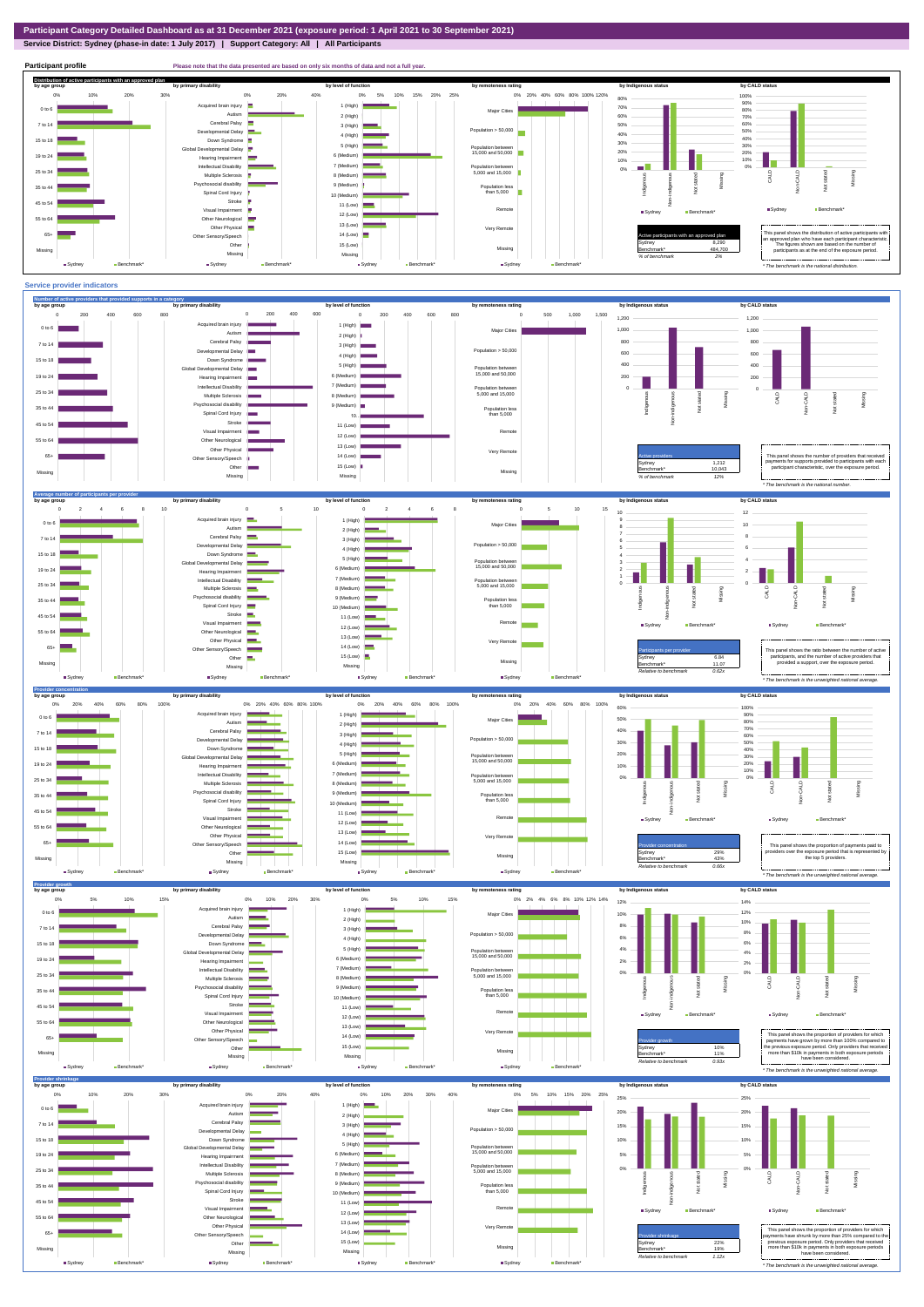## **Service District: Sydney (phase-in date: 1 July 2017) | Support Category: All | All Participants**



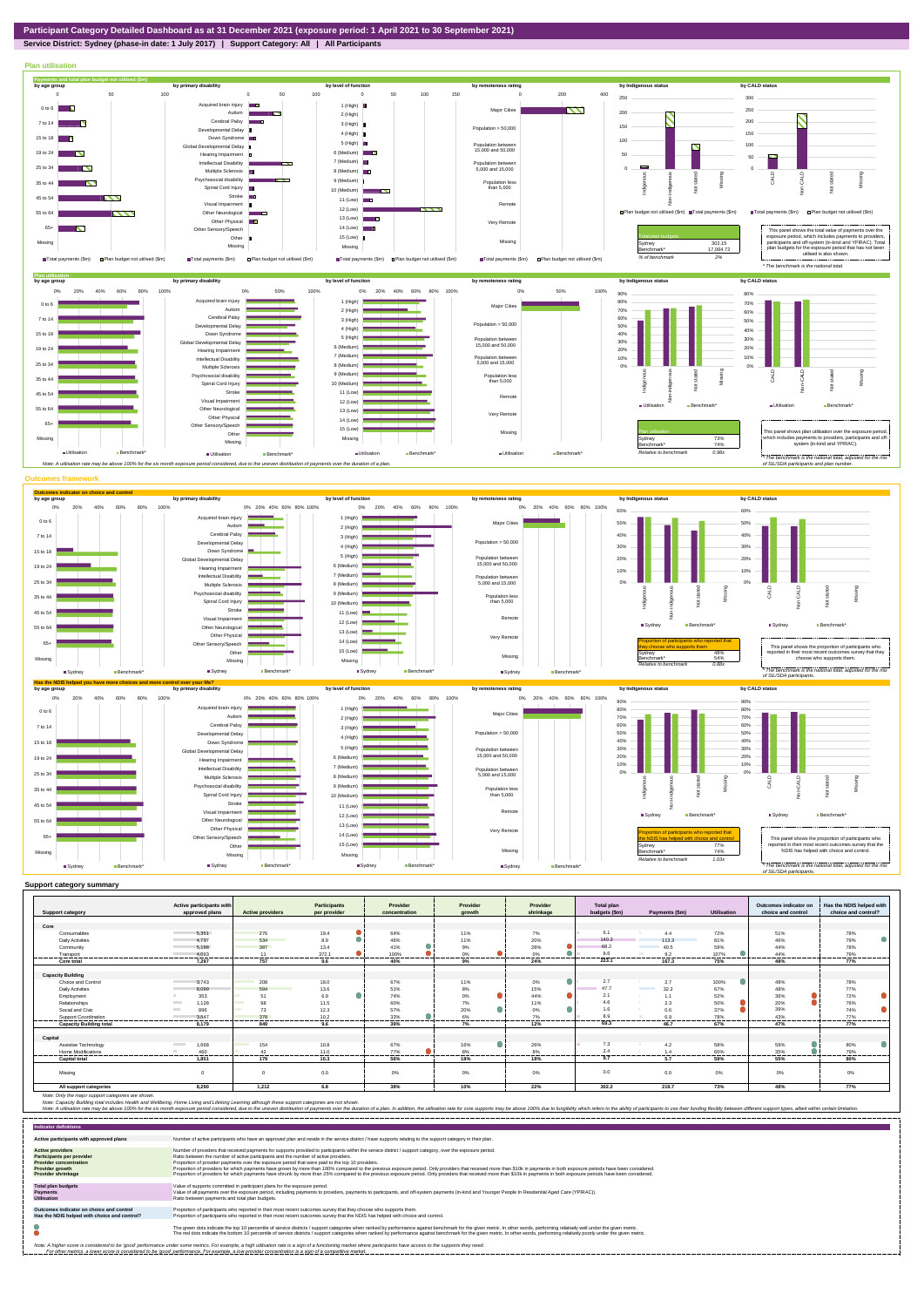## **Service District: Sydney (phase-in date: 1 July 2017) | Support Category: All | All Participants**



|                                | Active participants with          |                                                                                                                       | Participants   | Provider       | Provider                      | Provider       | Total plan    |                                  |                    | Outcomes indicator on | Has the NDIS helped with |
|--------------------------------|-----------------------------------|-----------------------------------------------------------------------------------------------------------------------|----------------|----------------|-------------------------------|----------------|---------------|----------------------------------|--------------------|-----------------------|--------------------------|
| <b>Support category</b>        | approved plans                    | <b>Active providers</b>                                                                                               | per provider   | concentration  | growth                        | shrinkage      | budgets (\$m) | Payments (\$m)                   | <b>Utilisation</b> | choice and control    | choice and control?      |
|                                |                                   |                                                                                                                       |                |                |                               |                |               |                                  |                    |                       |                          |
| Core                           |                                   |                                                                                                                       |                |                |                               |                |               |                                  |                    |                       |                          |
| Consumables                    | 5.351                             | 276                                                                                                                   | 19.4           | 64%            | 11%                           | 7%             | 6.1           | 4.4                              | 72%                | 51%                   | 78%                      |
| <b>Daily Activities</b>        | 4.737                             | 534                                                                                                                   | 8.9            | 46%            | 11%                           | 20%            | 140.3         | 113.3                            | 81%                | 46%                   | 79%                      |
| Community                      | 5.198                             | 387                                                                                                                   | 13.4           | 41%            | 9%                            | 28%            | 68.2          | 40.5                             | 59%                | 44%                   | 78%                      |
| Transport<br>. <b>.</b>        | 4.093<br>-----------              | 11<br>                                                                                                                | 372.1<br><br>. | 100%<br>.      | 0%<br>-----------<br>-------- | 0%<br>-------- | 8.6           | 9.2<br>                          | 107%<br>           | 44%<br>.              | 79%<br>---------         |
| Core total                     | 7.297                             | 757                                                                                                                   | 9.6            | 40%            | 9%                            | 24%            | 223.1         | 167.3                            | 75%                | 48%                   | 77%                      |
|                                |                                   |                                                                                                                       |                |                |                               |                |               |                                  |                    |                       |                          |
| <b>Capacity Building</b>       |                                   |                                                                                                                       |                |                |                               |                |               |                                  |                    |                       |                          |
| Choice and Control             | 3.743                             | 208                                                                                                                   | 18.0           | 67%            | 11%                           | 0%             | 2.7           | 2.7                              | 100%               | 48%                   | 78%                      |
| Daily Activities               | 8,099                             | 594<br>and the state of the state of the state of the state of the state of the state of the state of the state of th | 13.6           | 51%            | 8%                            | 15%            | 47.7          | 32.2<br><b>Contract Contract</b> | 67%                | 48%                   | 77%                      |
| Employment                     | 353                               | 51                                                                                                                    | 6.9            | 74%            | 0%                            | 44%            | 2.1           | 1.1                              | 52%                | 36%                   | 72%                      |
| Relationships                  | 1.128<br><b>Contract</b>          | 98                                                                                                                    | 11.5           | 60%            | 7%                            | 11%            | 4.6           | 2.3                              | 50%                | 20%                   | 76%                      |
| Social and Civic               | 896<br><b>College</b>             | 73                                                                                                                    | 12.3           | 57%            | ∩<br>20%                      | 0%             | 1.6           | 0.6                              | 37%                | 39%                   | 74%                      |
| <b>Support Coordination</b>    | 3.847                             | 378                                                                                                                   | 10.2           | 33%            | 6%                            | 7%             | 8.9           | 69                               | 78%                | 43%                   | 77%                      |
| <b>Capacity Building total</b> | 8.179                             | .<br>849                                                                                                              | -------<br>9.6 | -------<br>39% | .<br>7%                       | 12%            | 69.3          | 46.7                             | -------<br>67%     | -------<br>47%        | -------<br>77%           |
|                                |                                   |                                                                                                                       |                |                |                               |                |               |                                  |                    |                       |                          |
| Capital                        |                                   |                                                                                                                       |                |                |                               |                |               |                                  |                    |                       |                          |
| Assistive Technology           | 1.668<br><b>Contract Contract</b> | 154                                                                                                                   | 10.8           | 67%            | $\bullet$<br>16%              | 26%            | 7.3           | 4.2                              | 58%                | 59%                   | 80%                      |
| <b>Home Modifications</b>      | 460                               | 42                                                                                                                    | 11.0           | 77%            | 8%                            | 8%             | 2.4           |                                  | 60%                | 35%                   | 79%                      |
| <b>Capital total</b>           | 1.851                             | 179                                                                                                                   | 10.3           | 56%            | 18%                           | 18%            | 9.7           | 5.7                              | 59%                | 55%                   | 80%                      |
|                                |                                   |                                                                                                                       |                |                |                               |                |               |                                  |                    |                       |                          |
| Missina                        |                                   |                                                                                                                       | 0.0            | 0%             | 0%                            | 0%             | 0.0           | 0.0                              | 0%                 | 0%                    | 0%                       |
| All support categories         | 8.290                             | 1.212                                                                                                                 | 6.8            | 38%            | 10%                           | 22%            | 302.2         | 219.7                            | 73%                | 48%                   | 77%                      |

Note: Only the major support categories are shown.<br>Note: Capacity Building total individual Wellbeing, Home Living and Lifelong Learning although these support categories are not shown.<br>Note: A utilisation rate may be abov

| <b>Indicator definitions</b>                                                                                                                        |                                                                                                                                                                                                                                                                                                                                                                                                                                                                                                                                                                                                                                                                                                                                                                                                                 |
|-----------------------------------------------------------------------------------------------------------------------------------------------------|-----------------------------------------------------------------------------------------------------------------------------------------------------------------------------------------------------------------------------------------------------------------------------------------------------------------------------------------------------------------------------------------------------------------------------------------------------------------------------------------------------------------------------------------------------------------------------------------------------------------------------------------------------------------------------------------------------------------------------------------------------------------------------------------------------------------|
| Active participants with approved plans                                                                                                             | Number of active participants who have an approved plan and reside in the service district / have supports relating to the support category in their plan.                                                                                                                                                                                                                                                                                                                                                                                                                                                                                                                                                                                                                                                      |
| <b>Active providers</b><br><b>Participants per provider</b><br><b>Provider concentration</b><br><b>Provider growth</b><br><b>Provider shrinkage</b> | Number of providers that received payments for supports provided to participants within the service district / support category, over the exposure period.<br>Ratio between the number of active participants and the number of active providers.<br>Proportion of provider payments over the exposure period that were paid to the top 10 providers.<br>Proportion of providers for which payments have grown by more than 100% compared to the previous exposure period. Only providers that received more than \$10k in payments in both exposure periods have been considered.<br>Proportion of providers for which payments have shrunk by more than 25% compared to the previous exposure period. Only providers that received more than \$10k in payments in both exposure periods have been considered. |
| <b>Total plan budgets</b><br>Payments<br><b>Utilisation</b>                                                                                         | Value of supports committed in participant plans for the exposure period.<br>Value of all payments over the exposure period, including payments to providers, payments to participants, and off-system payments (in-kind and Younger People In Residential Aged Care (YPIRAC)).<br>Ratio between payments and total plan budgets.                                                                                                                                                                                                                                                                                                                                                                                                                                                                               |
| Outcomes indicator on choice and control<br>Has the NDIS helped with choice and control?                                                            | Proportion of participants who reported in their most recent outcomes survey that they choose who supports them.<br>Proportion of participants who reported in their most recent outcomes survey that the NDIS has helped with choice and control.                                                                                                                                                                                                                                                                                                                                                                                                                                                                                                                                                              |
|                                                                                                                                                     | The green dots indicate the top 10 percentile of service districts / support categories when ranked by performance against benchmark for the given metric. In other words, performing relatively well under the given metric.<br>The red dots indicate the bottom 10 percentile of service districts / support categories when ranked by performance against benchmark for the given metric. In other words, performing relatively poorly under the given metri                                                                                                                                                                                                                                                                                                                                                 |
|                                                                                                                                                     | Note: A higher score is considered to be 'good' performance under some metrics. For example, a high utilisation rate is a sign of a functioning market where participants have access to the supports they need.<br>For other metrics, a lower score is considered to be 'good' performance. For example, a low provider concentration is a sign of a competitive market.                                                                                                                                                                                                                                                                                                                                                                                                                                       |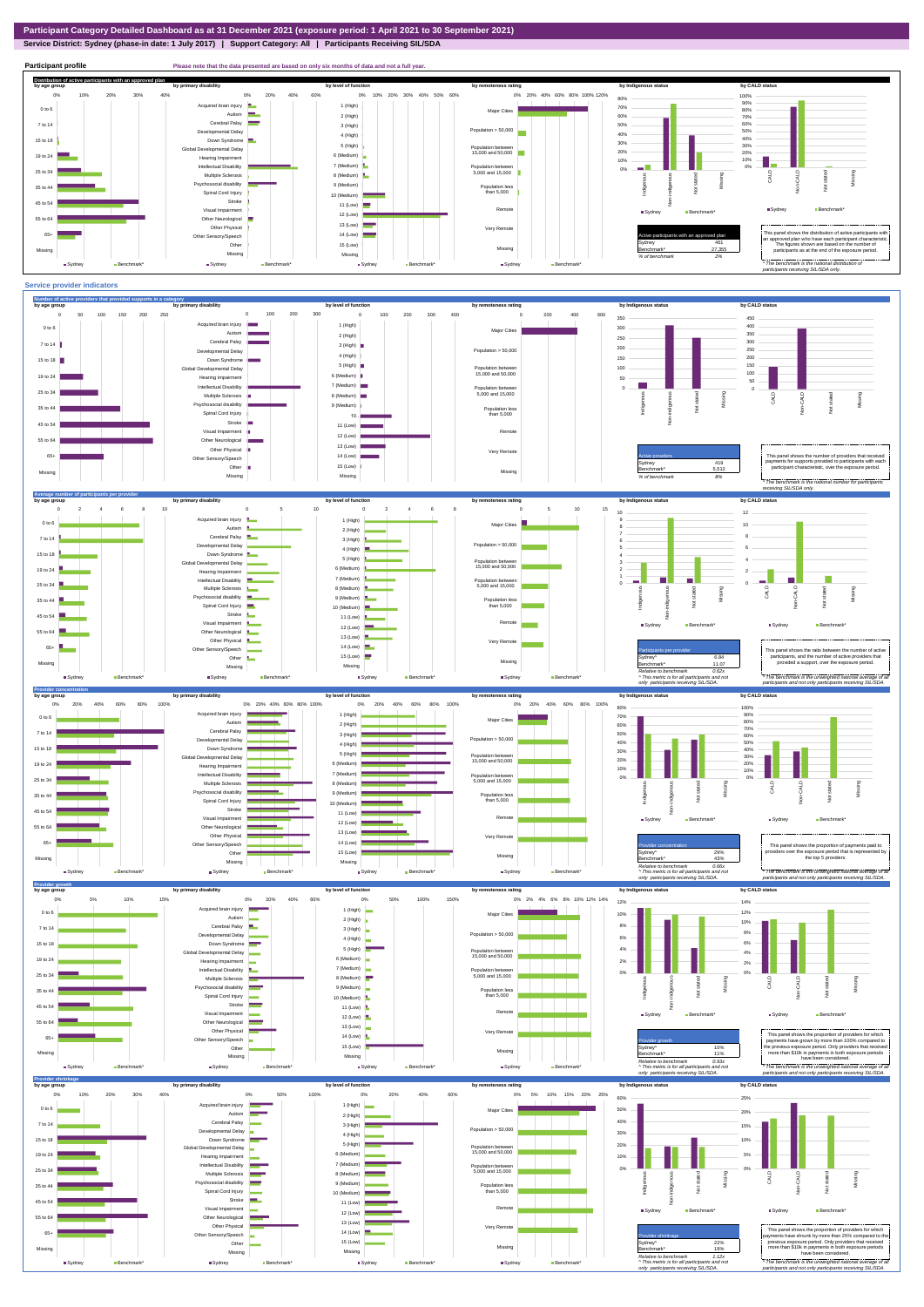**Service District: Sydney (phase-in date: 1 July 2017) | Support Category: All | Participants Receiving SIL/SDA**



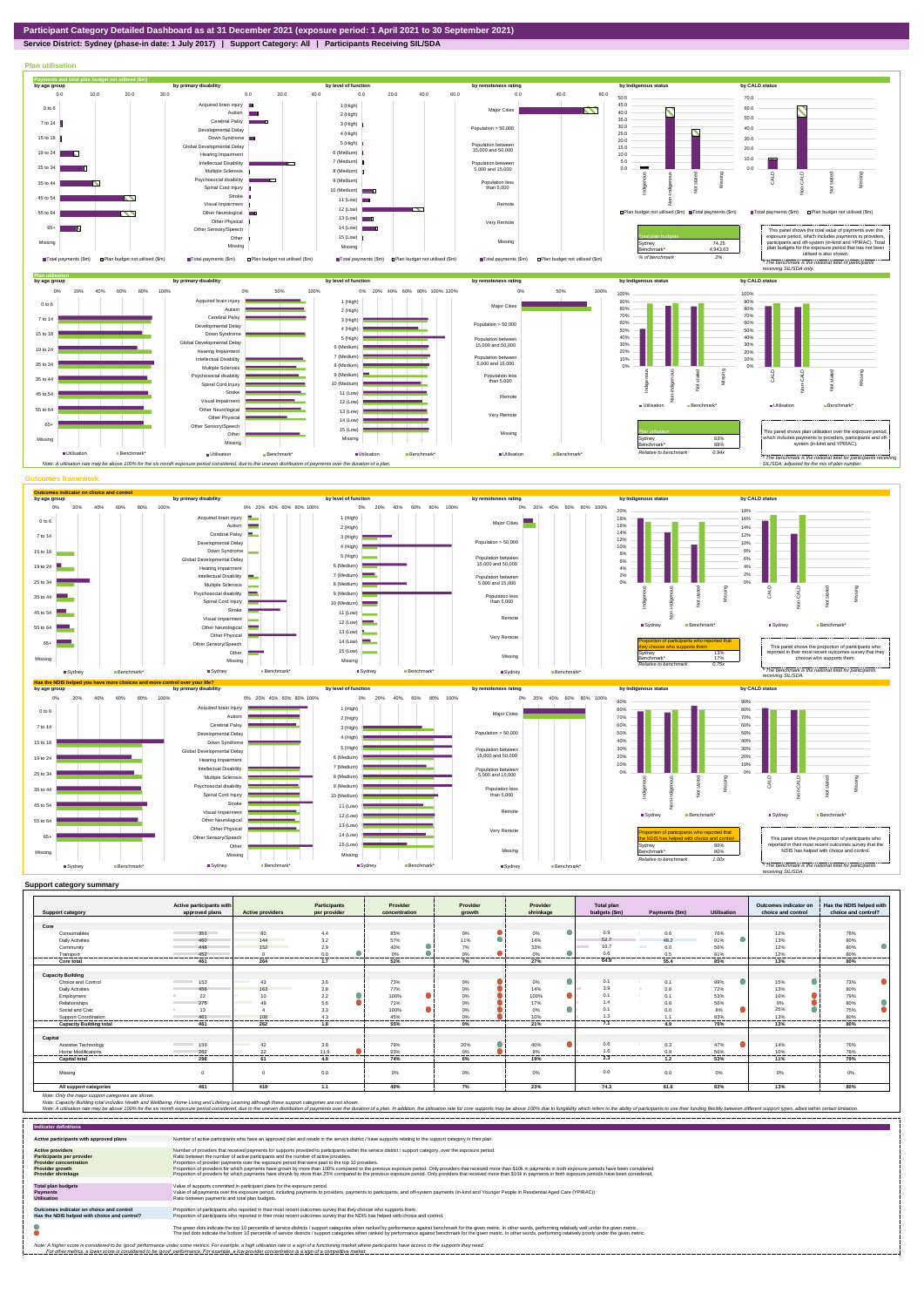

**Service District: Sydney (phase-in date: 1 July 2017) | Support Category: All | Participants Receiving SIL/SDA**



|                                | Active participants with        |                         | <b>Participants</b> | Provider      | Provider              | Provider         | Total plan    |                          |             | Outcomes indicator on | Has the NDIS helped with |
|--------------------------------|---------------------------------|-------------------------|---------------------|---------------|-----------------------|------------------|---------------|--------------------------|-------------|-----------------------|--------------------------|
| <b>Support category</b>        | approved plans                  | <b>Active providers</b> | per provider        | concentration | arowth                | shrinkage        | budgets (\$m) | Payments (\$m)           | Utilisation | choice and control    | choice and control?      |
| Core                           |                                 |                         |                     |               |                       |                  |               |                          |             |                       |                          |
| Consumables                    | 351                             | 80                      | 4.4                 | 85%           | 0%                    | $\bullet$<br>0%  | 0.9           | 0.6                      | 76%         | 12%                   | 78%                      |
| <b>Daily Activities</b>        | 460                             | 144                     | 3.2                 | 57%           | 11%                   | 14%              | 52.7          | 48.2                     | 91%         | 13%                   | 80%                      |
| Community                      | 448                             | 152                     | 2.9                 | 40%           | 7%                    | 33%              | 10.7          | <b>The Co</b><br>6.0     | 56%         | 12%                   | 80%                      |
| Transport                      | 452                             |                         | 0.0                 | 0%            | 0%                    | 0 <sup>9</sup>   | 0.6           | 0.5                      | 91%         | 12%                   | 80%                      |
| Core total                     | <br>461                         | .<br>264                | ----------<br>1.7   | <br>.<br>52%  | -----------<br><br>7% | ---------<br>27% | <br>64.9      | <br>55.4                 | <br>85%     | .<br>13%              | <br>80%                  |
|                                |                                 |                         |                     |               |                       |                  |               |                          |             |                       |                          |
| <b>Capacity Building</b>       |                                 |                         |                     |               |                       |                  |               |                          |             |                       |                          |
| <b>Choice and Control</b>      | 153                             | 43                      | 3.6                 | 73%           | 0%                    | $\bullet$<br>0%  | 0.1           | 0.1                      | 99%         | 15%                   | 73%                      |
| <b>Daily Activities</b>        | 456                             | 163                     | 2.8                 | 77%           | $0\%$                 | 14%              | 3.9           | <b>STEP</b><br>2.8       | 72%         | 13%                   | 80%                      |
| Employment                     | 22                              | 10                      | 2.2                 | 100%          | 0%                    | ▲<br>100%        | 0.1           | 0.1<br><b>SALE</b>       | 53%         | 10%                   | 79%                      |
| Relationships                  | 275                             | 49                      | 5.6                 | 71%           | 0%                    | 17%              | 1.4           | 0.8                      | 56%         | 9%                    | 80%                      |
| Social and Civic               | 13                              |                         | 3.3                 | 100%          | 0%                    | $\bullet$<br>0%  | 0.1           | 0.0                      | 8%          | 25%                   | 75%                      |
| Support Coordination           | 461                             | 108                     | 4.3                 | 45%           | 0%                    | 10%              | 1.3           | 11                       | 83%         | 13%                   | 80%<br>-------           |
| <b>Capacity Building total</b> | ----------<br>461               | <br>262                 | --------<br>1.8     | 55%           | .<br>$0\%$            | .<br>21%         | .<br>7.1      | 4.9                      | 70%         | ------<br>13%         | 80%                      |
| Capital                        |                                 |                         |                     |               |                       |                  |               |                          |             |                       |                          |
| Assistive Technology           | 159<br><b>Contract Contract</b> | 42                      | 3.8                 | 79%           | 20%                   | 40%              | 0.6           | 0.3                      | 47%         | 14%                   | 76%                      |
| Home Modifications             | 262                             | 22                      | 11.9                | 93%           | 0%                    | 9%               | 1.6           | 0.9                      | 56%         | 10%                   | 78%                      |
| <b>Capital total</b>           | .<br>298                        | 61                      | ------<br>4.9       | 74%           | 6%                    | 19%              | 2.3           | <b>STATISTICS</b><br>1.2 | 53%         | 11%                   | ------<br>79%            |
|                                |                                 |                         |                     |               |                       |                  |               |                          |             |                       |                          |
| Missing                        | $\sqrt{2}$                      | $\Omega$                | 0.0                 | 0%            | 0%                    | 0%               | 0.0           | 0.0                      | $0\%$       | 0%                    | 0%                       |
| All support categories         | 461                             | 419                     | 1.1                 | 49%           | 7%                    | 23%              | 74.3          | 61.6                     | 83%         | 13%                   | 80%                      |

Note: Only the major support categories are shown.<br>Note: Capacity Building total individual Wellbeing, Home Living and Lifelong Learning although these support categories are not shown.<br>Note: A utilisation rate may be abov

| <b>Indicator definitions</b>                                                                                                                        |                                                                                                                                                                                                                                                                                                                                                                                                                                                                                                                                                                                                                                                                                                                                                                                                                 |
|-----------------------------------------------------------------------------------------------------------------------------------------------------|-----------------------------------------------------------------------------------------------------------------------------------------------------------------------------------------------------------------------------------------------------------------------------------------------------------------------------------------------------------------------------------------------------------------------------------------------------------------------------------------------------------------------------------------------------------------------------------------------------------------------------------------------------------------------------------------------------------------------------------------------------------------------------------------------------------------|
| Active participants with approved plans                                                                                                             | Number of active participants who have an approved plan and reside in the service district / have supports relating to the support category in their plan.                                                                                                                                                                                                                                                                                                                                                                                                                                                                                                                                                                                                                                                      |
| <b>Active providers</b><br><b>Participants per provider</b><br><b>Provider concentration</b><br><b>Provider growth</b><br><b>Provider shrinkage</b> | Number of providers that received payments for supports provided to participants within the service district / support category, over the exposure period.<br>Ratio between the number of active participants and the number of active providers.<br>Proportion of provider payments over the exposure period that were paid to the top 10 providers.<br>Proportion of providers for which payments have grown by more than 100% compared to the previous exposure period. Only providers that received more than \$10k in payments in both exposure periods have been considered.<br>Proportion of providers for which payments have shrunk by more than 25% compared to the previous exposure period. Only providers that received more than \$10k in payments in both exposure periods have been considered. |
| <b>Total plan budgets</b><br><b>Payments</b><br><b>Utilisation</b>                                                                                  | Value of supports committed in participant plans for the exposure period.<br>Value of all payments over the exposure period, including payments to providers, payments to participants, and off-system payments (in-kind and Younger People In Residential Aged Care (YPIRAC)).<br>Ratio between payments and total plan budgets.                                                                                                                                                                                                                                                                                                                                                                                                                                                                               |
| Outcomes indicator on choice and control<br>Has the NDIS helped with choice and control?                                                            | Proportion of participants who reported in their most recent outcomes survey that they choose who supports them.<br>Proportion of participants who reported in their most recent outcomes survey that the NDIS has helped with choice and control.                                                                                                                                                                                                                                                                                                                                                                                                                                                                                                                                                              |
|                                                                                                                                                     | The green dots indicate the top 10 percentile of service districts / support categories when ranked by performance against benchmark for the given metric. In other words, performing relatively well under the given metric.<br>The red dots indicate the bottom 10 percentile of service districts / support categories when ranked by performance against benchmark for the given metric. In other words, performing relatively poorly under the given metri                                                                                                                                                                                                                                                                                                                                                 |
|                                                                                                                                                     | Note: A higher score is considered to be 'good' performance under some metrics. For example, a high utilisation rate is a sign of a functioning market where participants have access to the supports they need.<br>For other metrics, a lower score is considered to be 'good' performance. For example, a low provider concentration is a sign of a competitive market.                                                                                                                                                                                                                                                                                                                                                                                                                                       |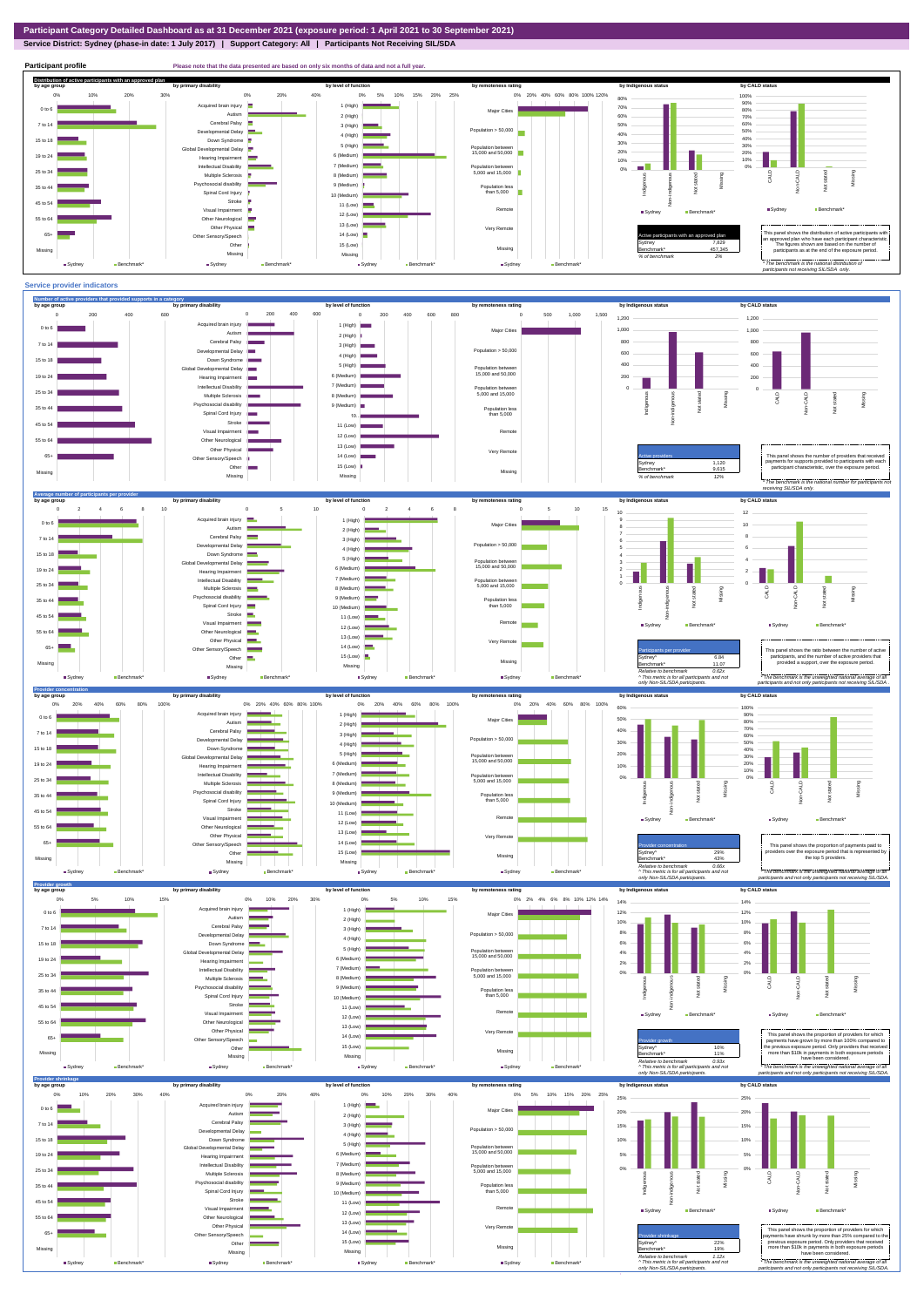**Service District: Sydney (phase-in date: 1 July 2017) | Support Category: All | Participants Not Receiving SIL/SDA**